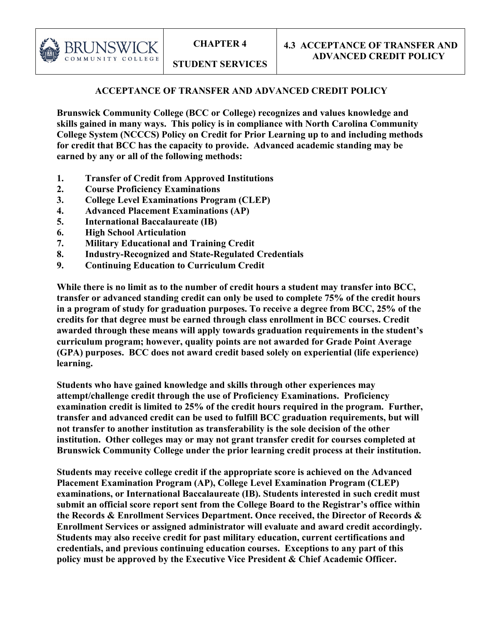**STUDENT SERVICES**

# **ACCEPTANCE OF TRANSFER AND ADVANCED CREDIT POLICY**

**Brunswick Community College (BCC or College) recognizes and values knowledge and skills gained in many ways. This policy is in compliance with North Carolina Community College System (NCCCS) Policy on Credit for Prior Learning up to and including methods for credit that BCC has the capacity to provide. Advanced academic standing may be earned by any or all of the following methods:**

- **1. Transfer of Credit from Approved Institutions**
- **2. Course Proficiency Examinations**
- **3. College Level Examinations Program (CLEP)**
- **4. Advanced Placement Examinations (AP)**
- **5. International Baccalaureate (IB)**
- **6. High School Articulation**

BRUNSWI COMMUNITY COLLEGE

- **7. Military Educational and Training Credit**
- **8. Industry-Recognized and State-Regulated Credentials**
- **9. Continuing Education to Curriculum Credit**

**While there is no limit as to the number of credit hours a student may transfer into BCC, transfer or advanced standing credit can only be used to complete 75% of the credit hours in a program of study for graduation purposes. To receive a degree from BCC, 25% of the credits for that degree must be earned through class enrollment in BCC courses. Credit awarded through these means will apply towards graduation requirements in the student's curriculum program; however, quality points are not awarded for Grade Point Average (GPA) purposes. BCC does not award credit based solely on experiential (life experience) learning.**

**Students who have gained knowledge and skills through other experiences may attempt/challenge credit through the use of Proficiency Examinations. Proficiency examination credit is limited to 25% of the credit hours required in the program. Further, transfer and advanced credit can be used to fulfill BCC graduation requirements, but will not transfer to another institution as transferability is the sole decision of the other institution. Other colleges may or may not grant transfer credit for courses completed at Brunswick Community College under the prior learning credit process at their institution.**

**Students may receive college credit if the appropriate score is achieved on the Advanced Placement Examination Program (AP), College Level Examination Program (CLEP) examinations, or International Baccalaureate (IB). Students interested in such credit must submit an official score report sent from the College Board to the Registrar's office within the Records & Enrollment Services Department. Once received, the Director of Records & Enrollment Services or assigned administrator will evaluate and award credit accordingly. Students may also receive credit for past military education, current certifications and credentials, and previous continuing education courses. Exceptions to any part of this policy must be approved by the Executive Vice President & Chief Academic Officer.**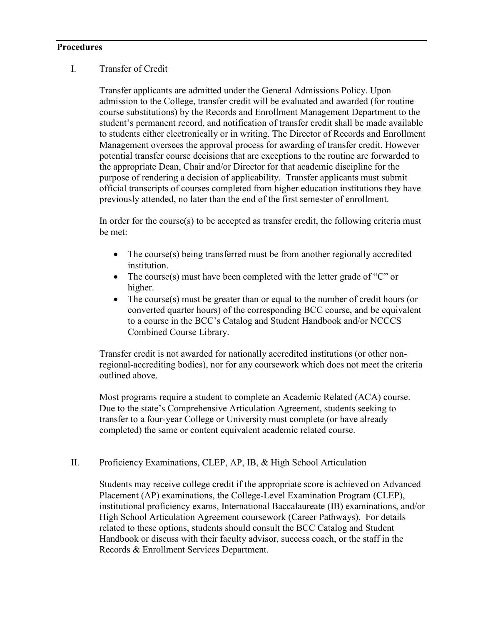#### **Procedures**

### I. Transfer of Credit

Transfer applicants are admitted under the General Admissions Policy. Upon admission to the College, transfer credit will be evaluated and awarded (for routine course substitutions) by the Records and Enrollment Management Department to the student's permanent record, and notification of transfer credit shall be made available to students either electronically or in writing. The Director of Records and Enrollment Management oversees the approval process for awarding of transfer credit. However potential transfer course decisions that are exceptions to the routine are forwarded to the appropriate Dean, Chair and/or Director for that academic discipline for the purpose of rendering a decision of applicability. Transfer applicants must submit official transcripts of courses completed from higher education institutions they have previously attended, no later than the end of the first semester of enrollment.

In order for the course(s) to be accepted as transfer credit, the following criteria must be met:

- The course(s) being transferred must be from another regionally accredited institution.
- The course(s) must have been completed with the letter grade of "C" or higher.
- The course(s) must be greater than or equal to the number of credit hours (or converted quarter hours) of the corresponding BCC course, and be equivalent to a course in the BCC's Catalog and Student Handbook and/or NCCCS Combined Course Library.

Transfer credit is not awarded for nationally accredited institutions (or other nonregional-accrediting bodies), nor for any coursework which does not meet the criteria outlined above.

Most programs require a student to complete an Academic Related (ACA) course. Due to the state's Comprehensive Articulation Agreement, students seeking to transfer to a four-year College or University must complete (or have already completed) the same or content equivalent academic related course.

### II. Proficiency Examinations, CLEP, AP, IB, & High School Articulation

Students may receive college credit if the appropriate score is achieved on Advanced Placement (AP) examinations, the College-Level Examination Program (CLEP), institutional proficiency exams, International Baccalaureate (IB) examinations, and/or High School Articulation Agreement coursework (Career Pathways). For details related to these options, students should consult the BCC Catalog and Student Handbook or discuss with their faculty advisor, success coach, or the staff in the Records & Enrollment Services Department.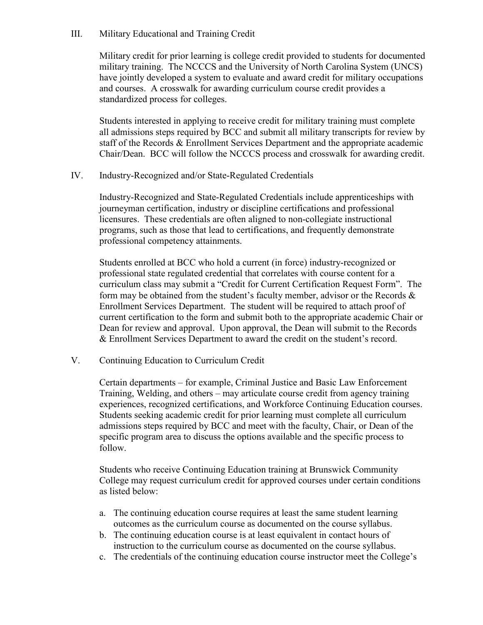### III. Military Educational and Training Credit

Military credit for prior learning is college credit provided to students for documented military training. The NCCCS and the University of North Carolina System (UNCS) have jointly developed a system to evaluate and award credit for military occupations and courses. A crosswalk for awarding curriculum course credit provides a standardized process for colleges.

Students interested in applying to receive credit for military training must complete all admissions steps required by BCC and submit all military transcripts for review by staff of the Records & Enrollment Services Department and the appropriate academic Chair/Dean. BCC will follow the NCCCS process and crosswalk for awarding credit.

IV. Industry-Recognized and/or State-Regulated Credentials

Industry-Recognized and State-Regulated Credentials include apprenticeships with journeyman certification, industry or discipline certifications and professional licensures. These credentials are often aligned to non-collegiate instructional programs, such as those that lead to certifications, and frequently demonstrate professional competency attainments.

Students enrolled at BCC who hold a current (in force) industry-recognized or professional state regulated credential that correlates with course content for a curriculum class may submit a "Credit for Current Certification Request Form". The form may be obtained from the student's faculty member, advisor or the Records & Enrollment Services Department. The student will be required to attach proof of current certification to the form and submit both to the appropriate academic Chair or Dean for review and approval. Upon approval, the Dean will submit to the Records & Enrollment Services Department to award the credit on the student's record.

V. Continuing Education to Curriculum Credit

Certain departments – for example, Criminal Justice and Basic Law Enforcement Training, Welding, and others – may articulate course credit from agency training experiences, recognized certifications, and Workforce Continuing Education courses. Students seeking academic credit for prior learning must complete all curriculum admissions steps required by BCC and meet with the faculty, Chair, or Dean of the specific program area to discuss the options available and the specific process to follow.

Students who receive Continuing Education training at Brunswick Community College may request curriculum credit for approved courses under certain conditions as listed below:

- a. The continuing education course requires at least the same student learning outcomes as the curriculum course as documented on the course syllabus.
- b. The continuing education course is at least equivalent in contact hours of instruction to the curriculum course as documented on the course syllabus.
- c. The credentials of the continuing education course instructor meet the College's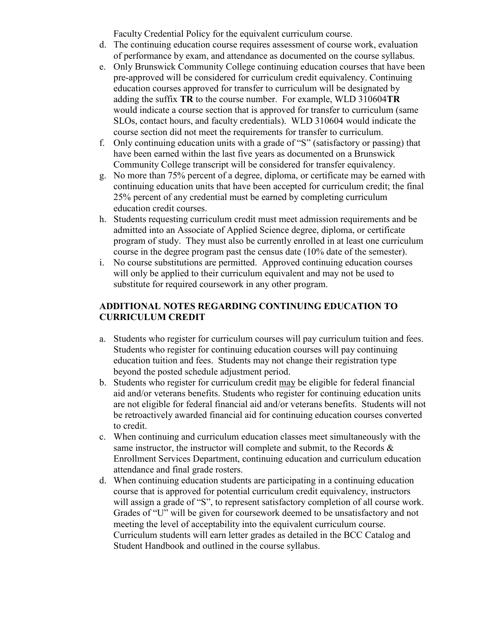Faculty Credential Policy for the equivalent curriculum course.

- d. The continuing education course requires assessment of course work, evaluation of performance by exam, and attendance as documented on the course syllabus.
- e. Only Brunswick Community College continuing education courses that have been pre-approved will be considered for curriculum credit equivalency. Continuing education courses approved for transfer to curriculum will be designated by adding the suffix **TR** to the course number. For example, WLD 310604**TR** would indicate a course section that is approved for transfer to curriculum (same SLOs, contact hours, and faculty credentials). WLD 310604 would indicate the course section did not meet the requirements for transfer to curriculum.
- f. Only continuing education units with a grade of "S" (satisfactory or passing) that have been earned within the last five years as documented on a Brunswick Community College transcript will be considered for transfer equivalency.
- g. No more than 75% percent of a degree, diploma, or certificate may be earned with continuing education units that have been accepted for curriculum credit; the final 25% percent of any credential must be earned by completing curriculum education credit courses.
- h. Students requesting curriculum credit must meet admission requirements and be admitted into an Associate of Applied Science degree, diploma, or certificate program of study. They must also be currently enrolled in at least one curriculum course in the degree program past the census date (10% date of the semester).
- i. No course substitutions are permitted. Approved continuing education courses will only be applied to their curriculum equivalent and may not be used to substitute for required coursework in any other program.

# **ADDITIONAL NOTES REGARDING CONTINUING EDUCATION TO CURRICULUM CREDIT**

- a. Students who register for curriculum courses will pay curriculum tuition and fees. Students who register for continuing education courses will pay continuing education tuition and fees. Students may not change their registration type beyond the posted schedule adjustment period.
- b. Students who register for curriculum credit may be eligible for federal financial aid and/or veterans benefits. Students who register for continuing education units are not eligible for federal financial aid and/or veterans benefits. Students will not be retroactively awarded financial aid for continuing education courses converted to credit.
- c. When continuing and curriculum education classes meet simultaneously with the same instructor, the instructor will complete and submit, to the Records  $\&$ Enrollment Services Department, continuing education and curriculum education attendance and final grade rosters.
- d. When continuing education students are participating in a continuing education course that is approved for potential curriculum credit equivalency, instructors will assign a grade of "S", to represent satisfactory completion of all course work. Grades of "U" will be given for coursework deemed to be unsatisfactory and not meeting the level of acceptability into the equivalent curriculum course. Curriculum students will earn letter grades as detailed in the BCC Catalog and Student Handbook and outlined in the course syllabus.